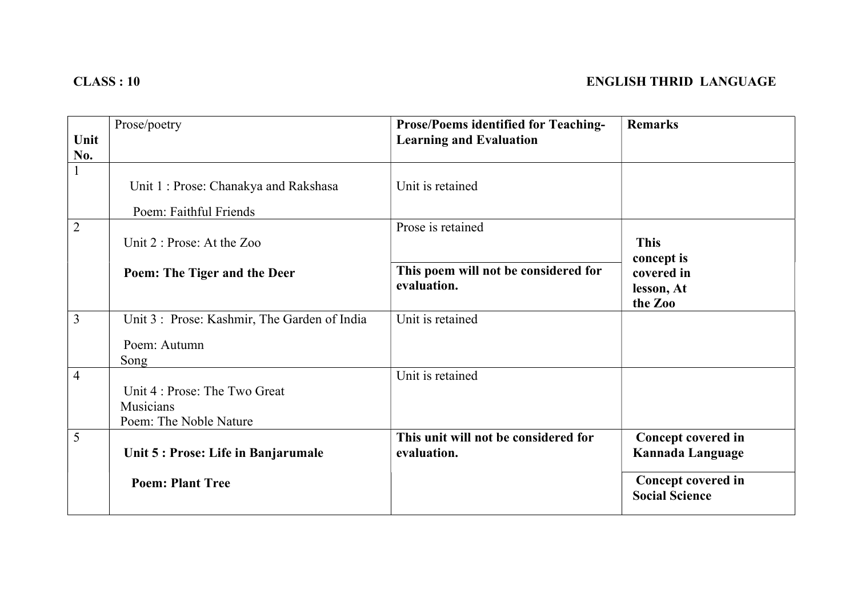| Unit           | Prose/poetry                                                         | <b>Prose/Poems identified for Teaching-</b><br><b>Learning and Evaluation</b> | <b>Remarks</b>                                     |
|----------------|----------------------------------------------------------------------|-------------------------------------------------------------------------------|----------------------------------------------------|
| No.            |                                                                      |                                                                               |                                                    |
|                | Unit 1: Prose: Chanakya and Rakshasa<br>Poem: Faithful Friends       | Unit is retained                                                              |                                                    |
| $\overline{2}$ | Unit 2 : Prose: At the Zoo                                           | Prose is retained                                                             | <b>This</b><br>concept is                          |
|                | Poem: The Tiger and the Deer                                         | This poem will not be considered for<br>evaluation.                           | covered in<br>lesson, At<br>the Zoo                |
| 3              | Unit 3: Prose: Kashmir, The Garden of India                          | Unit is retained                                                              |                                                    |
|                | Poem: Autumn<br>Song                                                 |                                                                               |                                                    |
| $\overline{4}$ | Unit 4 : Prose: The Two Great<br>Musicians<br>Poem: The Noble Nature | Unit is retained                                                              |                                                    |
| 5              | Unit 5 : Prose: Life in Banjarumale                                  | This unit will not be considered for<br>evaluation.                           | Concept covered in<br>Kannada Language             |
|                | <b>Poem: Plant Tree</b>                                              |                                                                               | <b>Concept covered in</b><br><b>Social Science</b> |